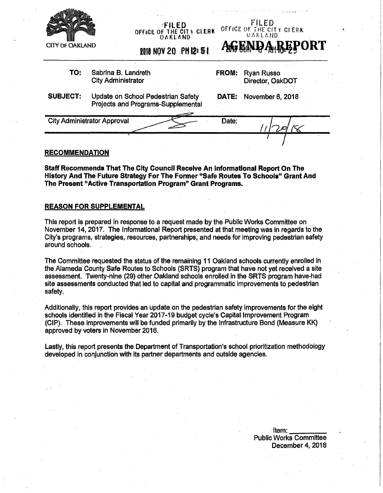

*OFFICE OF THE CITY CLERK* **OAKLAND**



2018 NOV 20 PM 12: 51

**TO:** Sabrina B. Landreth City Administrator

**FROM:** Ryan Russo Director, OakDOT

**SUBJECT:** Update on School Pedestrian Safety Projects and Programs-Supplemental **DATE:** November 6, 2018

City Administrator Approval Date:  $\frac{1}{2}$  /(8

## **RECOMMENDATION**

**Staff Recommends That The City Council Receive An informational Report On The History And The Future Strategy For The Former "Safe Routes To Schools" Grant And The Present "Active Transportation Program" Grant Programs.**

# **REASON FOR SUPPLEMENTAL**

This report is prepared in response to a request made by the Public Works Committee on November 14,2017. The Informational Report presented at that meeting was in regards to the City's programs, strategies, resources, partnerships, and needs for improving pedestrian safety around schools.

The Committee requested the status of the remaining 11 Oakland schools currently enrolled in the Alameda County Safe Routes to Schools (SRTS) program that have not yet received a site assessment. Twenty-nine (29) other Oakland schools enrolled in the SRTS program have-had site assessments conducted that led to capital and programmatic improvements to pedestrian safety.

Additionally, this report provides an update on the pedestrian safety improvements for the eight schools identified in the Fiscal Year 2017-19 budget cycle's Capital Improvement Program (CIP). These improvements will be funded primarily by the Infrastructure Bond (Measure KK) approved by voters in November 2016.

Lastly, this report presents the Department of Transportation's school prioritization methodology developed in conjunction with its partner departments and outside agencies.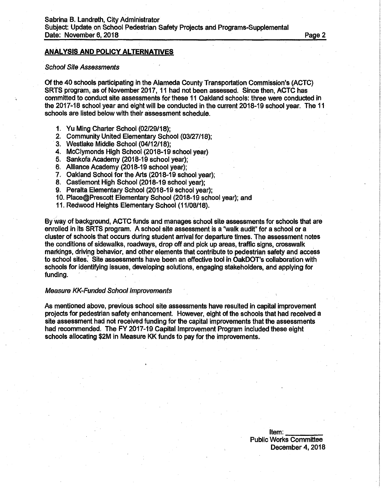### **ANALYSIS AND POLICY ALTERNATIVES**

#### *School Site Assessments*

Of the 40 schools participating in the Alameda County Transportation Commission's (ACTC) SRTS program, as of November 2017,11 had not been assessed. Since then, ACTC has committed to conduct site assessments for these 11 Oakland schools: three were conducted in the 2017-18 school year and eight will be conducted in the current 2018-19 school year. The 11 schools are listed below with their assessment schedule.

- 1. Yu Ming Charter School (02/29/18);
- 2. Community United Elementary School (03/27/18);
- 3. Westlake Middle School (04/12/18);
- 4. McClymonds High School (2018-19 school year)
- 5. Sankofa Academy (2018-19 school year);
- 6. Alliance Academy (2018-19 school year);
- 7. Oakland School for the Arts (2018-19 school year);
- 8. Castlemont High School (2018-19 school year);
- 9. Peralta Elementary School (2018-19 school year);
- 10. Place@Prescott Elementary School (2018-19 school year); and
- 11. Redwood Heights Elementary School (11/08/18).

By way of background, ACTC funds and manages school site assessments for schools that are enrolled in its SRTS program. A school site assessment is a "walk audit" for a school or a cluster of schools that occurs during student arrival for departure times. The assessment notes the conditions of sidewalks, roadways, drop off and pick up areas, traffic signs, crosswalk markings, driving behavior, and other elements that contribute to pedestrian safety and access to school sites. Site assessments have been an effective tool in OakDOT's collaboration with schools for identifying issues, developing solutions, engaging stakeholders, and applying for funding.

#### *Measure KK-Funded School Improvements*

As mentioned above, previous school site assessments have resulted in capital improvement projects for pedestrian safety enhancement. However, eight of the schools that had received a site assessment had not received funding for the capital improvements that the assessments had recommended. The FY 2017-19 Capital Improvement Program included these eight schools allocating \$2M in Measure KK funds to pay for the improvements.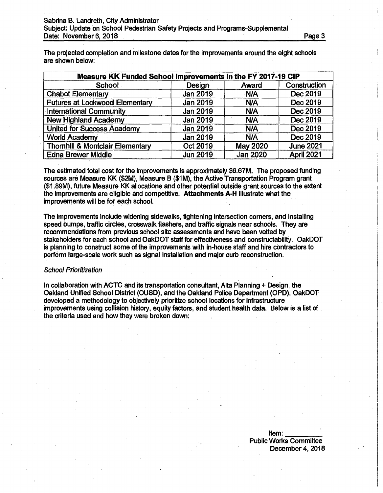The projected completion and milestone dates for the improvements around the eight schools are shown below:

| Measure KK Funded School Improvements in the FY 2017-19 CIP |                 |                 |                  |  |
|-------------------------------------------------------------|-----------------|-----------------|------------------|--|
| School                                                      | Design          | Award           | Construction     |  |
| <b>Chabot Elementary</b>                                    | Jan 2019        | N/A             | Dec 2019         |  |
| <b>Futures at Lockwood Elementary</b>                       | <b>Jan 2019</b> | <b>N/A</b>      | Dec 2019         |  |
| <b>International Community</b>                              | Jan 2019        | N/A             | Dec 2019         |  |
| <b>New Highland Academy</b>                                 | <b>Jan 2019</b> | N/A             | Dec 2019         |  |
| <b>United for Success Academy</b>                           | Jan 2019        | N/A             | Dec 2019         |  |
| <b>World Academy</b>                                        | <b>Jan 2019</b> | N/A             | Dec 2019         |  |
| <b>Thornhill &amp; Montclair Elementary</b>                 | Oct 2019        | <b>May 2020</b> | <b>June 2021</b> |  |
| <b>Edna Brewer Middle</b>                                   | <b>Jun 2019</b> | <b>Jan 2020</b> | April 2021       |  |

The estimated total cost for the improvements is approximately \$6.67M. The proposed funding sources are Measure KK (\$2M), Measure B (\$1M), the Active Transportation Program grant (\$1.89M), future Measure KK allocations and other potential outside grant sources to the extent the improvements are eligible and competitive. **Attachments** A-H illustrate what the improvements will be for each school.

The improvements include widening sidewalks, tightening intersection corners, and installing speed bumps, traffic circles, crosswalk flashers, and traffic signals near schools. They are recommendations from previous school site assessments and have been vetted by stakeholders for each school and OakDOT staff for effectiveness and constructability. OakDOT is planning to construct some of the improvements with in-house staff and hire contractors to perform large-scale work such as signal installation and major curb reconstruction.

## *School Prioritization*

In collaboration with ACTC and its transportation consultant, Alta Planning + Design, the Oakland Unified School District (OUSD), and the Oakland Police Department (OPD), OakDOT developed a methodology to objectively prioritize school locations for infrastructure improvements using collision history, equity factors, and student health data. Below is a list of the criteria used and how they were broken down:

> Item:<br>Worke Committee Public Works Committee December 4, 2018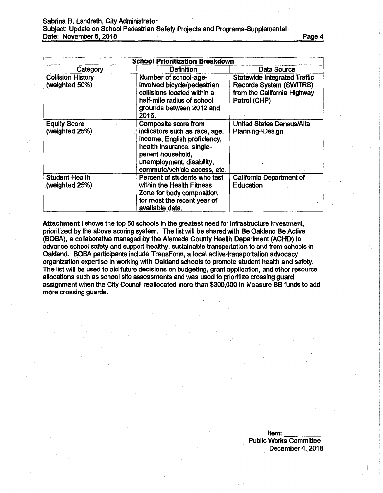## Sabrina B. Landreth, City Administrator Subject: Update on School Pedestrian Safety Projects and Programs-Supplemental Date: November 6,2018\_\_\_\_\_\_\_\_\_ Page **4**

| <b>School Prioritization Breakdown</b>     |                                                                                                                                                                                                      |                                                                                                               |  |  |  |
|--------------------------------------------|------------------------------------------------------------------------------------------------------------------------------------------------------------------------------------------------------|---------------------------------------------------------------------------------------------------------------|--|--|--|
| Category                                   | <b>Definition</b>                                                                                                                                                                                    | Data Source                                                                                                   |  |  |  |
| <b>Collision History</b><br>(weighted 50%) | Number of school-age-<br>involved bicycle/pedestrian<br>collisions located within a<br>half-mile radius of school<br>grounds between 2012 and<br>2016.                                               | <b>Statewide Integrated Traffic</b><br>Records System (SWITRS)<br>from the California Highway<br>Patrol (CHP) |  |  |  |
| <b>Equity Score</b><br>(weighted 25%)      | Composite score from<br>indicators such as race, age,<br>income, English proficiency,<br>health insurance, single-<br>parent household,<br>unemployment, disability,<br>commute/vehicle access, etc. | <b>United States Census/Alta</b><br>Planning+Design                                                           |  |  |  |
| <b>Student Health</b><br>(weighted 25%)    | Percent of students who test<br>within the Health Fitness<br>Zone for body composition<br>for most the recent year of<br>available data.                                                             | <b>California Department of</b><br><b>Education</b>                                                           |  |  |  |

**Attachment I** shows the top 50 schools in the greatest need for infrastructure investment, prioritized by the above scoring system. The list will be shared with Be Oakland Be Active (BOBA), a collaborative managed by the Alameda County Health Department (ACHD) to advance school safety and support healthy, sustainable transportation to and from schools in Oakland. BOBA participants include TransForm, a local active-transportation advocacy organization expertise in working with Oakland schools to promote student health and safety. The list will be used to aid future decisions on budgeting, grant application, and other resource allocations such as school site assessments and was used to prioritize crossing guard assignment when the City Council reallocated more than \$300,000 in Measure BB funds to add more crossing guards.

> Item: \_ Public Works Committee December 4, 2018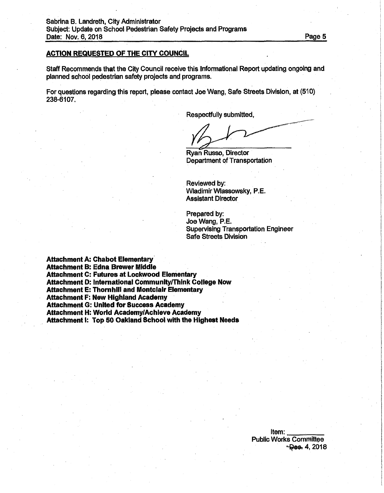## **ACTION REQUESTED OF THE CITY COUNCIL**

Staff Recommends that the City Council receive this Informational Report updating ongoing and planned school pedestrian safety projects and programs.

For questions regarding this report, please contact Joe Wang, Safe Streets Division, at (510) 238-6107.

Respectfully submitted,

Ryan Russo, Director Department of Transportation

Reviewed by: Wladimir Wlassowsky, P.E. Assistant Director

Prepared by: Joe Wang, P.E. Supervising Transportation Engineer Safe Streets Division

**Attachment A: Chabot Elementary Attachment B: Edna Brewer Middle Attachment C: Futures at Lockwood Elementary Attachment D: International Community/Think College Now Attachment E: Thornhill and Montclair Elementary Attachment F: New Highland Academy Attachment G: United for Success Academy Attachment H: World Academy/Achieve Academy Attachment I: Top 50 Oakland School with the Highest Needs**

> Item: . Public Works Committee<br><del>Pes.</del> 4, 2018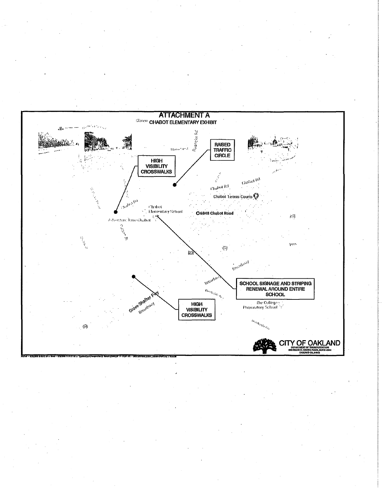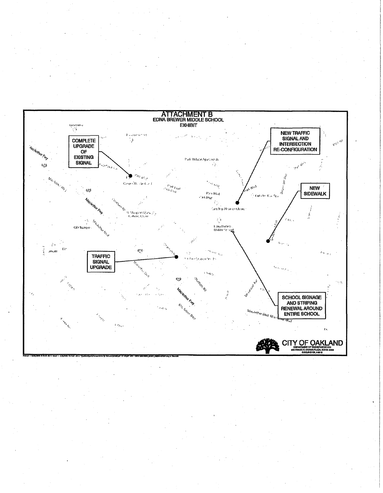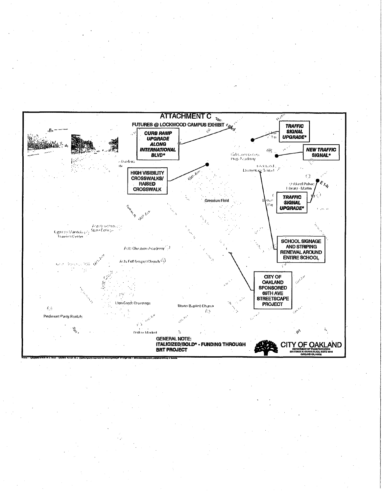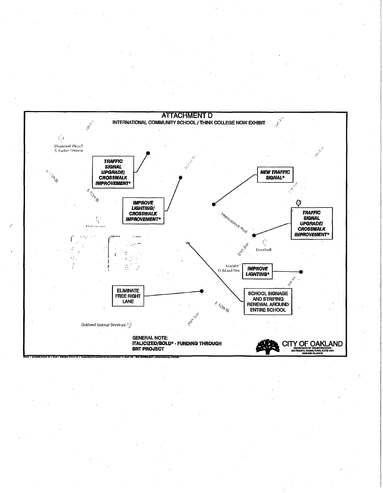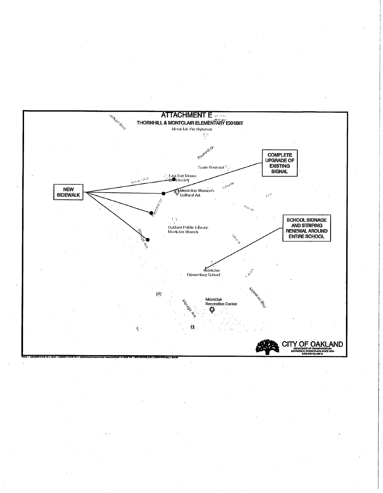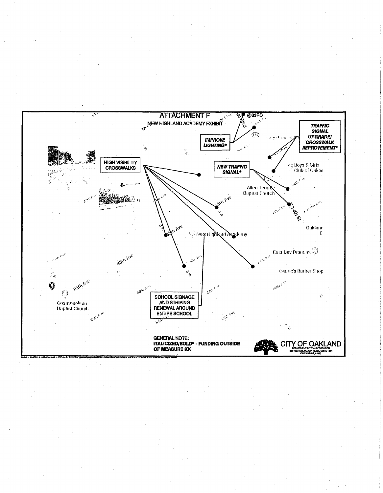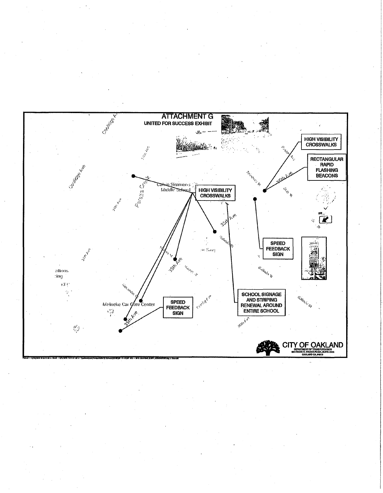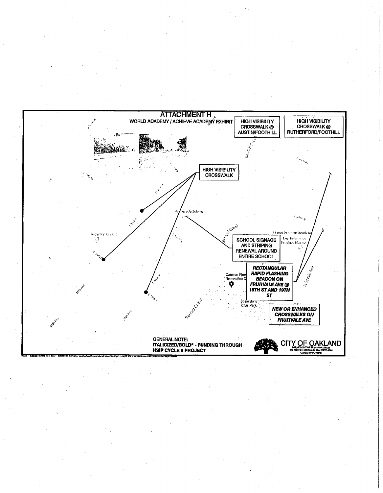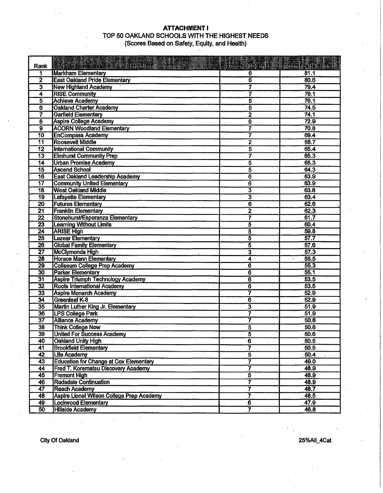# **ATTACHMENT I** TOP 50 OAKLAND SCHOOLS WITH THE HIGHEST NEEDS (Scores Based on Safety, Equity, and Health)

| Rank                        | Alta and the state of Sthool                     | <b>Teomellopum</b>      | ់ (Competito Signe) |
|-----------------------------|--------------------------------------------------|-------------------------|---------------------|
|                             | <b>Markham Elementary</b>                        | 6                       | $\overline{81.1}$   |
| $\overline{\mathbf{2}}$     | <b>East Oakland Pride Elementary</b>             | $\overline{\mathbf{6}}$ | 80.6                |
| $\overline{\boldsymbol{3}}$ | <b>New Highland Academy</b>                      | 7                       | 79.4                |
| $\overline{4}$              | <b>RISE Community</b>                            | 7                       | 79.1                |
| $\overline{\mathbf{5}}$     | <b>Achieve Academy</b>                           | 5                       | 76.1                |
| $\overline{\bf 6}$          | <b>Oakland Charter Academy</b>                   | 5                       | 74.5                |
| 7                           | <b>Garfield Elementary</b>                       | $\overline{2}$          | 74.1                |
| $\overline{\mathbf{8}}$     | <b>Aspire College Academy</b>                    | 6                       | 72.9                |
| $\overline{9}$              | <b>ACORN Woodland Elementary</b>                 | 7                       | 70.8                |
| $\overline{10}$             | <b>EnCompass Academy</b>                         | 7                       | 69.4                |
| $\overline{11}$             | <b>Roosevelt Middle</b>                          | $\overline{2}$          | 68.7                |
| $\overline{12}$             | <b>International Community</b>                   | 5                       | 65.4                |
| $\overline{13}$             | <b>Elmhurst Community Prep</b>                   | 7                       | 65.3                |
| $\overline{14}$             | <b>Urban Promise Academy</b>                     | 5                       | 65.3                |
| $\overline{15}$             | <b>Ascend School</b>                             | 5                       | 64.3                |
| 16                          | <b>East Oakland Leadership Academy</b>           | $\overline{\bf{6}}$     | 63.9                |
| $\overline{17}$             | <b>Community United Elementary</b>               | 6                       | 63.9                |
| $\overline{18}$             | <b>West Oakland Middle</b>                       | 3                       | 63.8                |
| $\overline{19}$             |                                                  | 3                       | 63.4                |
|                             | <b>Lafayette Elementary</b>                      | $\overline{\bf{6}}$     | 62.6                |
| $\overline{20}$             | <b>Futures Elementary</b>                        |                         |                     |
| $\overline{21}$             | <b>Franklin Elementary</b>                       | $\overline{2}$          | 62.3                |
| $\overline{22}$             | Stonehurst/Esperanza Elementary                  | 7                       | 61.7                |
| $\overline{23}$             | <b>Learning Without Limits</b>                   | 5                       | 60.4                |
| 24                          | <b>ARISE High</b>                                | 5                       | 59.8                |
| $\overline{25}$             | <b>Lazear Elementary</b>                         | 5                       | 57.7                |
| $\overline{26}$             | <b>Global Family Elementary</b>                  | 5                       | 57.6                |
| $\overline{27}$             | <b>McClymonds High</b>                           | 3                       | 57.3                |
| $\overline{28}$             | <b>Horace Mann Elementary</b>                    | 4                       | 55.5                |
| $\overline{29}$             | <b>Coliseum College Prep Academy</b>             | $\overline{\bf{6}}$     | 55.3                |
| 30                          | <b>Parker Elementary</b>                         | $\overline{\bf{6}}$     | 55.1                |
| 31                          | <b>Aspire Triumph Technology Academy</b>         | $\overline{\mathbf{6}}$ | 53.5                |
| $\overline{32}$             | Roots International Academy                      | $\overline{\mathbf{6}}$ | 53.5                |
| $\overline{33}$             | <b>Aspire Monarch Academy</b>                    | 7                       | 52.9                |
| $\overline{34}$             | <b>Greenleaf K-8</b>                             | $\overline{\bf 6}$      | 52.9                |
| 35                          | Martin Luther King Jr. Elementary                | 3                       | 51.9                |
| 36                          | <b>LPS College Park</b>                          | 7                       | 51.9                |
| $\overline{37}$             | <b>Alliance Academy</b>                          | 7                       | 50.8                |
| $\overline{38}$             | <b>Think College Now</b>                         | 5                       | 50.8                |
| 39                          | <b>United For Success Academy</b>                | 5                       | 50.6                |
| 40                          | Oakland Unity High                               | $\overline{6}$          | 50.5                |
| 41                          | <b>Brookfield Elementary</b>                     | 7                       | 50.5                |
| $\overline{42}$             | <b>Life Academy</b>                              | $\overline{5}$          | 50.4                |
| 43                          | <b>Education for Change at Cox Elementary</b>    | 7                       | 49.0                |
| 44                          | <b>Fred T. Korematsu Discovery Academy</b>       | 7                       | 48.9                |
| 45                          | <b>Fremont High</b>                              | $\overline{5}$          | 48.9                |
| 46                          | <b>Rudsdale Continuation</b>                     | 7                       | 48.9                |
| $\overline{47}$             | <b>Reach Academy</b>                             | $\overline{\mathbf{7}}$ | 48.7                |
| 48                          | <b>Aspire Lionel Wilson College Prep Academy</b> | 7                       | 48.5                |
| 49                          | <b>Lockwood Elementary</b>                       | $\overline{6}$          | 47.9                |
| 50                          | <b>Hillside Academy</b>                          | $\overline{7}$          | 46.8                |
|                             |                                                  |                         |                     |

City Of Oakland 25%AII\_4Cat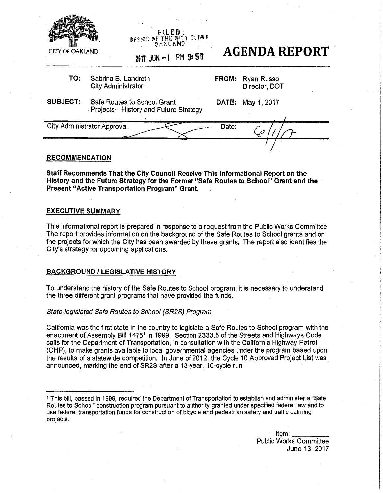|                        | <b>FILED:</b><br><b>OFFICE OF THE OITY OLERN</b>                    |       |                             |
|------------------------|---------------------------------------------------------------------|-------|-----------------------------|
| <b>CITY OF OAKLAND</b> | 2017 JUN - I PM 3:57                                                |       | <b>AGENDA REPORT</b>        |
| TO:                    | Sabrina B. Landreth<br><b>City Administrator</b>                    | FROM: | Ryan Russo<br>Director, DOT |
| <b>SUBJECT:</b>        | Safe Routes to School Grant<br>Projects-History and Future Strategy | DATE: | May 1, 2017                 |
|                        | <b>City Administrator Approval</b>                                  | Date: |                             |
| <b>RECOMMENDATION</b>  |                                                                     |       |                             |

### **RECOMMENDATION**

**Staff Recommends That the City Council Receive This Informational Report on the History and the Future Strategy for the Former "Safe Routes to School" Grant and the Present "Active Transportation Program" Grant.**

## **EXECUTIVE SUMMARY**

This informational report is prepared in response to a request from the Public Works Committee. The report provides information on the background of the Safe Routes to School grants and on the projects for which the City has been awarded by these grants. The report also identifies the City's strategy for upcoming applications.

### **BACKGROUND / LEGISLATIVE HISTORY**

To understand the history of the Safe Routes to School program, it is necessary to understand the three different grant programs that have provided the funds.

### *State-legislated Safe Routes to School (SR2S) Program*

California was the first state in the country to legislate a Safe Routes to School program with the enactment of Assembly Bill 14751 in 1999. Section 2333.5 of the Streets and Highways Code calls for the Department of Transportation, in consultation with the California Highway Patrol (CHP), to make grants available to local governmental agencies under the program based upon the results of a statewide competition. In June of 2012, the Cycle 10 Approved Project List was announced, marking the end of SR2S after a 13-year, 10-cycle run.

 $^{\prime}$  This bill, passed in 1999, required the Department of Transportation to establish and administer a "Safe Routes to School" construction program pursuant to authority granted under specified federal law and to use federal transportation funds for construction of bicycle and pedestrian safety and traffic calming projects.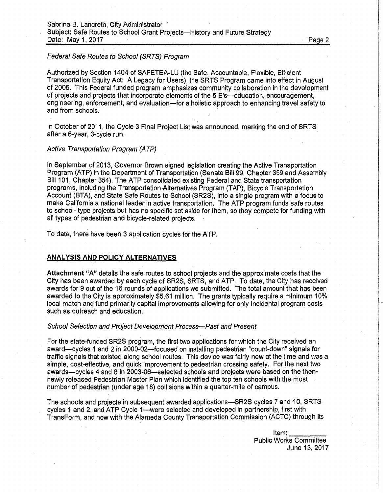# *Federal Safe Routes to School (SRTS) Program*

Authorized by Section 1404 of SAFETEA-LU (the Safe, Accountable, Flexible, Efficient Transportation Equity Act: A Legacy for Users), the SRTS Program came into effect in August of 2005. This Federal funded program emphasizes community collaboration in the development of projects and projects that incorporate elements of the 5 E's—education, encouragement, engineering, enforcement, and evaluation—for a holistic approach to enhancing travel safety to and from schools.

In October of 2011, the Cycle 3 Final Project List was announced, marking the end of SRTS after a 6-year, 3-cycle run.

### *Active Transportation Program (ATP)*

In September of 2013, Governor Brown signed legislation creating the Active Transportation Program (ATP) in the Department of Transportation (Senate Bill 99, Chapter 359 and Assembly Bill 101, Chapter 354), The ATP consolidated existing Federal and State transportation programs, including the Transportation Alternatives Program (TAP), Bicycle Transportation Account (BTA), and State Safe Routes to School (SR2S), into a single program with a focus to make California a national leader in active transportation. The ATP program funds safe routes to school- type projects but has no specific set aside for them, so they compete for funding with all types of pedestrian and bicycle-related projects.

To date, there have been 3 application cycles for the ATP.

## **ANALYSIS AND POLICY ALTERNATIVES**

**Attachment** "A" details the safe routes to school projects and the approximate costs that the City has been awarded by each cycle of SR2S, SRTS, and ATP. To date, the City has received awards for 9 out of the 16 rounds of applications we submitted. The total amount that has been awarded to the City is approximately \$5.61 million. The grants typically require a minimum 10% local match and fund primarily capital improvements allowing for only incidental program costs such as outreach and education.

#### *School Selection and Project Development Process*—*Past and Present*

For the state-funded SR2S program, the first two applications for which the City received an award—cycles <sup>1</sup> and 2 in 2000-02—focused on installing pedestrian "count-down" signals for traffic signals that existed along school routes. This device was fairly new at the time and was a simple, cost-effective, and quick improvement to pedestrian crossing safety. For the next two awards—cycles 4 and 6 in 2003-06—selected schools and projects were based on the thennewly released Pedestrian Master Plan which identified the top ten schools with the most number of pedestrian (under age 18) collisions within a quarter-mile of campus.

The schools and projects in subsequent awarded applications—SR2S cycles 7 and 10, SRTS . cycles <sup>1</sup> and 2, and ATP Cycle 1—were selected and developed in partnership, first with TransForm, and now with the Alameda County Transportation Commission (ACTC) through its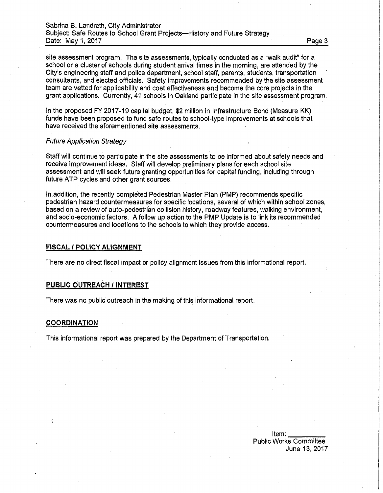site assessment program. The site assessments, typically conducted as a "walk audit" for a school or a cluster of schools during student arrival times in the morning, are attended by the City's engineering staff and police department, school staff, parents, students, transportation consultants, and elected officials. Safety improvements recommended by the site assessment team are vetted for applicability and cost effectiveness and become the core projects in the grant applications. Currently, 41 schools in Oakland participate in the site assessment program.

In the proposed FY 2017-19 capital budget, \$2 million in Infrastructure Bond (Measure KK) funds have been proposed to fund safe routes to school-type improvements at schools that have received the aforementioned site assessments.

### *Future Application Strategy*

Staff will continue to participate in the site assessments to be informed about safety needs and receive improvement ideas. Staff will develop preliminary plans for each school site assessment and will seek future granting opportunities for capital funding, including through future ATP cycles and other grant sources.

In addition, the recently completed Pedestrian Master Plan (PMP) recommends specific pedestrian hazard countermeasures for specific locations, several of which within school zones, based on a review of auto-pedestrian collision history, roadway features, walking environment, and socio-economic factors. A follow up action to the PMP Update is to link its recommended countermeasures and locations to the schools to which they provide access,

## **FISCAL** / **POLICY ALIGNMENT**

There are no direct fiscal impact or policy alignment issues from this informational report.

## **PUBLIC OUTREACH / INTEREST**

There was no public outreach in the making of this informational report.

### **COORDINATION**

This informational report was prepared by the Department of Transportation.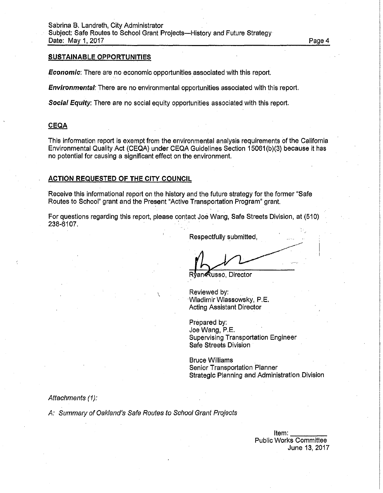## **SUSTAINABLE OPPORTUNITIES**

*Economic*: There are no economic opportunities associated with this report.

*Environmental:* There are no environmental opportunities associated with this report.

*Social Equity:* There are no social equity opportunities associated with this report.

## **CEQA**

This information report is exempt from the environmental analysis requirements of the California Environmental Quality Act (CEQA) under CEQA Guidelines Section 15061(b)(3) because it has no potential for causing a significant effect on the environment.

## **ACTION REQUESTED OF THE CITY COUNCIL**

Receive this informational report on the history and the future strategy for the former "Safe Routes to School" grant and the Present "Active Transportation Program" grant.

For questions regarding this report, please contact Joe Wang, Safe Streets Division, at (510) 238-6107.

Respectfully submitted

Rvan**@**usso, Director

Reviewed by: Wladimir Wlassowsky, P.E. Acting Assistant Director

Prepared by: Joe Wang, P.E. Supervising Transportation Engineer Safe Streets Division

Bruce Williams Senior Transportation Planner Strategic Planning and Administration Division

## *Attachments (1):*

*A: Summary of Oakland's Safe Routes to School Grant Projects*

v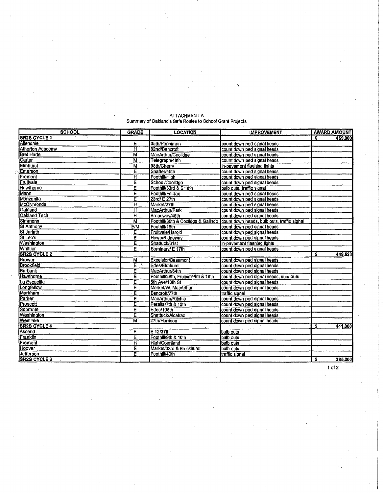| <b>SCHOOL</b>           | <b>GRADE</b>            | <b>LOCATION</b>                     | <b>IMPROVEMENT</b>                          | <b>AWARD AMOUNT</b>         |
|-------------------------|-------------------------|-------------------------------------|---------------------------------------------|-----------------------------|
| <b>SR2S CYCLE 1</b>     |                         |                                     |                                             | S<br>459,000                |
| Allendale               | E                       | 35th/Penniman                       | count down ped signal heads                 |                             |
| <b>Atherton Academy</b> | н                       | 82nd/Bancroft                       | count down ped signal heads                 |                             |
| <b>Bret Harte</b>       | $\overline{\mathsf{M}}$ | MacArthur/Coolidge                  | count down ped signal heads                 |                             |
| Carter                  | M                       | Telegraph/48th                      | count down ped signal heads                 |                             |
| Elmhurst                | M                       | 98th/Cherry                         | lin-pavement flashing lights                |                             |
| Emerson                 | E                       | Shafter/45th                        | count down ped signal heads                 |                             |
| Fremont                 | $\overline{\mathsf{H}}$ | Foothill/High                       | count down ped signal heads                 |                             |
| Fruitvale               | Ē                       | School/Coolidge                     | count down ped signal heads                 |                             |
| <b>Hawthorne</b>        | Ε                       | Foothill/33rd & E 18th              | bulb outs, traffic signal                   |                             |
| <b>Mann</b>             | Е                       | Foothill/Fairfax                    | count down ped signal heads                 |                             |
| Manzanita               | E                       | 23rd/ E 27th                        | count down ped signal heads                 |                             |
| <b>McClymonds</b>       | H                       | Market/27th                         | count down ped signal heads                 |                             |
| Oakland                 | Ħ                       | MacArthur/Park                      | count down ped signal heads                 |                             |
| Oakland Tech            | Ĥ                       | Broadway/45th                       | lcount down ped signal heads                |                             |
| <b>Simmons</b>          | м                       | Foothill/35th & Coolidge & Galindo  | count down heads, bulb outs, traffic signal |                             |
| St Anthony              | <b>E/M</b>              | Foothill/16th                       | count down ped signal heads                 |                             |
| St Jarlath              | E                       | Fruitvale/Harold                    | count down ped signal heads                 |                             |
| St Leo's                | Ē                       | Howe/Ridgeway                       | count down ped signal heads                 | $\mathcal{L}_{\mathcal{A}}$ |
| <b>Washington</b>       | E                       | Shattuck/61st                       | in-pavement flashing lights                 |                             |
| Whittier                | Ē                       | Seminary/ E 17th                    | count down ped signal heads                 |                             |
| <b>SR2S CYCLE 2</b>     |                         |                                     |                                             | 449.623<br>\$               |
| <b>Brewer</b>           | M                       | Excelsior/Beaumont                  | count down ped signal heads                 |                             |
| <b>Brookfield</b>       | Ε                       | Edes/Elmhurst                       | count down ped signal heads                 |                             |
| <b>Burbank</b>          | E                       | MacArthur/64th                      | count down ped signal heads                 |                             |
| Hawthorne               | Ε                       | Foothill/28th, Fruitvale/int & 16th | count down ped signal heads, bulb outs      |                             |
| La Escuelita            | E                       | 5th Ave/10th St                     | count down ped signal heads                 |                             |
| Longfellow              | E                       | Market/W. MacArthur                 | count down ped signal heads                 |                             |
| <b>Markham</b>          | E                       | Bancroft/77th                       | traffic signal                              |                             |
| Parker                  | E                       | MacArthur/Ritchle                   | count down ped signal heads                 |                             |
| Prescott                | E                       | Peralta/7th & 12th                  | count down ped signal heads                 |                             |
| Sobrante                | Ε                       | Edes/105th                          | count down ped signal heads                 |                             |
| Washington<br>Westlake  | Ė                       | Shattuck/Alcatraz                   | count down ped signal heads                 |                             |
|                         | М                       | 27th/Harrison                       | count down ped signal heads                 |                             |
| <b>SR2S CYCLE 4</b>     |                         |                                     |                                             | \$<br>441,000               |
| Ascend                  | E                       | E 12/37th                           | bulb outs                                   |                             |
| Franklin                | E                       | Foothill/9th & 10th                 | bulb outs                                   |                             |
| Fremont                 | ਸ                       | <b>High/Courtland</b>               | bulb outs                                   |                             |
| Hoover                  | E                       | Market/33rd & Brockhurst            | bulb outs                                   |                             |
| Jefferson               | E                       | Foothill/40th                       | traffic signal                              |                             |
| <b>SR2S CYCLE 6</b>     |                         |                                     |                                             | s<br>386,200                |

#### ATTACHMENT A Summary of Oakland's Safe Routes to School Grant Projects

**\**

<sup>1</sup> of **2**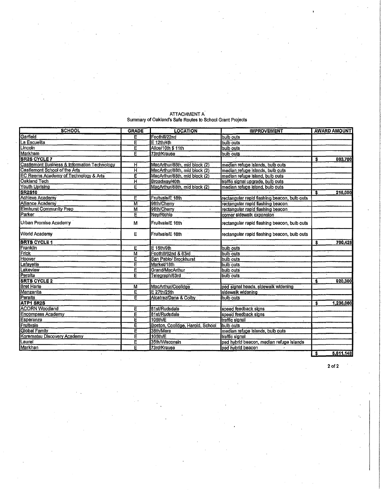| <b>SCHOOL</b>                                    | <b>GRADE</b>            | <b>LOCATION</b>                  | <b>IMPROVEMENT</b>                           |                         | <b>AWARD AMOUNT</b> |
|--------------------------------------------------|-------------------------|----------------------------------|----------------------------------------------|-------------------------|---------------------|
| Garfield                                         | Е                       | FoothIII/22nd                    | bulb outs                                    |                         |                     |
| La Escuelita                                     | Ē                       | $E$ 12th/4th                     | bulb outs                                    |                         |                     |
| Lincoln                                          | E                       | Alice/10th \$ 11th               | bulb outs                                    |                         |                     |
| <b>Markham</b>                                   | Ē                       | 73rd/Krause                      | bulb outs                                    |                         |                     |
| <b>SR2S CYCLE 7</b>                              |                         |                                  |                                              | \$                      | 803,700             |
| Castlemont Business & Information Technology     | н                       | MacArthur/88th, mid block (2)    | median refuge islands, bulb outs             |                         |                     |
| Castlemont School of the Arts                    | H                       | MacArthur/88th, mid block (2)    | median refuge islands, bulb outs             |                         |                     |
| <b>EC Reems Academy of Technology &amp; Arts</b> | Ē                       | MacArthur/88th, mid block (2)    | median refuge island, bulb outs              |                         |                     |
| <b>Oakland Tech</b>                              | н                       | Broadway/40th                    | traffic signal upgrade, bulb outs            |                         |                     |
| Youth Uprising                                   | Ē                       | MacArthur/88th, mid block (2)    | median refuge island, bulb outs              |                         |                     |
| <b>SR2S10</b>                                    |                         |                                  |                                              | s                       | 216,000             |
| <b>Achieve Academy</b>                           | Ë                       | Fruitvale/E 16th                 | rectangular rapid flashing beacon, bulb outs |                         |                     |
| Alliance Academy                                 | $\overline{\mathsf{M}}$ | 98th/Cherry                      | rectangular rapid flashing beacon.           |                         |                     |
| <b>Elmhurst Community Prep</b>                   | M                       | 98th/Cherry                      | rectangular rapid flashing beacon            |                         |                     |
| Parker                                           | E                       | Nev/Richle                       | corner sidewalk expansion                    |                         |                     |
| Urban Promise Academy                            | M                       | Fruitvale/E 16th                 | rectangular rapid flashing beacon, bulb outs |                         |                     |
| <b>World Academy</b>                             | E                       | Fruitvale/E-16th                 | rectangular rapid flashing beacon, bulb outs |                         |                     |
| <b>SRTS CYCLE 1</b>                              |                         |                                  |                                              | $\overline{\mathbf{s}}$ | 700,425             |
| Franklin                                         | Е                       | $E = 15th/9th$                   | bulb outs                                    |                         |                     |
| <b>Frick</b>                                     | $\overline{\mathsf{M}}$ | FoothIII/62nd & 63rd             | bulb outs                                    |                         |                     |
| Hoover                                           | E                       | San Pablo/ Brockhurst            | bulb outs                                    |                         |                     |
| Lafayette                                        | E                       | Market/18th                      | bulb outs                                    |                         |                     |
| Lakeview                                         | E                       | Grand/MacArthur                  | bulb outs                                    |                         |                     |
| Peralta                                          | E                       | Telegraph/63rd                   | bulb outs                                    |                         |                     |
| <b>SRTS CYCLE 2</b>                              |                         |                                  |                                              | \$                      | 920,300             |
| <b>Bret Harte</b>                                | M                       | MacArthur/Coolidge               | ped signal heads, sidewalk widening          |                         |                     |
| <b>Manzanita</b>                                 | Ē                       | E 27th/25th                      | sidewalk widening                            |                         |                     |
| Peralta                                          | Ē                       | Alcatraz/Dana & Colby            | bulb outs                                    |                         |                     |
| <b>ATP1 SR2S</b>                                 |                         |                                  |                                              | s                       | 1,236,000           |
| <b>ACORN Woodland</b>                            | E                       | 81st/Rudsdale                    | speed feedback signs                         |                         |                     |
| <b>Encompass Academy</b>                         | Ē                       | 81st/Rudsdale                    | speed feedback signs                         |                         |                     |
| Esperanza                                        | E                       | 105th/E                          | traffic signal                               |                         |                     |
| Frultvale                                        | E                       | Boston, Coolidge, Harold, School | bulb outs                                    |                         |                     |
| Global Family                                    | Ē                       | 38th/Mera                        | median refuge islands, bulb outs             |                         |                     |
| Korematsu Discovery Academy                      | E                       | 105th/E                          | traffic signal                               |                         |                     |
| Laurel                                           | Ε                       | 35th/Wisconsin                   | ped hybrid beacon, median refuge islands     |                         |                     |
| <b>Markhan</b>                                   | Ē                       | 73rd/Krause                      | ped hybrid beacon                            |                         |                     |
|                                                  |                         |                                  |                                              | s                       | 5,611,148           |

### ATTACHMENTA Summary of Oakland's Safe Routes to School Grant Projects

**2** of **2**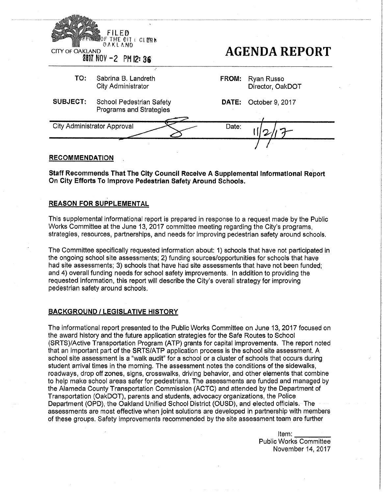| <b>CITY OF OAKLAND</b> | FILED<br><b>DE THE GIT L CLERK</b><br>OAKLAND<br>2017 NOV -2 PM 12:36 |              | <b>AGENDA REPORT</b>           |
|------------------------|-----------------------------------------------------------------------|--------------|--------------------------------|
| TO:                    | Sabrina B. Landreth<br><b>City Administrator</b>                      | FROM:        | Ryan Russo<br>Director, OakDOT |
| <b>SUBJECT:</b>        | <b>School Pedestrian Safety</b><br>Programs and Strategies            | <b>DATE:</b> | October 9, 2017                |
|                        | <b>City Administrator Approval</b>                                    | Date:        |                                |
|                        |                                                                       |              |                                |

## **RECOMMENDATION**

**Staff Recommends That The City Council Receive A Supplemental Informational Report On City Efforts To Improve Pedestrian Safety Around Schools.**

#### **REASON FOR SUPPLEMENTAL**

This supplemental informational report is prepared in response to a request made by the Public Works Committee at the June 13, 2017 committee meeting regarding the City's programs, strategies, resources, partnerships, and needs for improving pedestrian safety around schools.

The Committee specifically requested information about: 1) schools that have not participated in the ongoing school site assessments; 2) funding sources/opportunities for schools that have had site assessments; 3) schools that have had site assessments that have not been funded; and 4) overall funding needs for school safety improvements. In addition to providing the requested information, this report will describe the City's overall strategy for improving pedestrian safety around schools.

## **BACKGROUND / LEGISLATIVE HISTORY**

The informational report presented to the Public Works Committee on June 13, 2017 focused on the award history and the future application strategies for the Safe Routes to School (SRTS)/Active Transportation Program (ATP) grants for capital improvements. The report noted that an important part of the SRTS/ATP application process is the school site assessment. A school site assessment is a "walk audit" for a school or a cluster of schools that occurs during student arrival times in the morning. The assessment notes the conditions of the sidewalks, roadways, drop off zones, signs, crosswalks, driving behavior, and other elements that combine to help make school areas safer for pedestrians. The assessments are funded and managed by the Alameda County Transportation Commission (ACTC) and attended by the Department of Transportation (OakDOT), parents and students, advocacy organizations, the Police Department (OPD), the Oakland Unified School District (OUSD), and elected officials. The assessments are most effective when joint solutions are developed in partnership with members of these groups. Safety improvements recommended by the site assessment team are further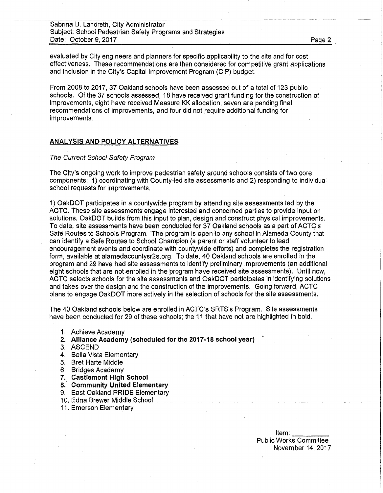Sabrina B. Landreth, City Administrator Subject: School Pedestrian Safety Programs and Strategies Date: October 9, 2017 Page 2

evaluated by City engineers and planners for specific applicability to the site and for cost effectiveness. These recommendations are then considered for competitive grant applications and inclusion in the City's Capital Improvement Program (CIP) budget.

From 2008 to 2017, 37 Oakland schools have been assessed out of a total of 123 public schools. Of the 37 schools assessed, 18 have received grant funding for the construction of improvements, eight have received Measure KK allocation, seven are pending final recommendations of improvements, and four did not require additional funding for improvements.

## **ANALYSIS AND POLICY ALTERNATIVES**

#### *The Current School Safety Program*

The City's ongoing work to improve pedestrian safety around schools consists of two core components: 1) coordinating with County-led site assessments and 2) responding to individual school requests for improvements.

1) OakDOT participates in a countywide program by attending site assessments led by the ACTC, These site assessments engage interested and concerned parties to provide input on solutions. OakDOT builds from this input to plan, design and construct physical improvements. To date, site assessments have been conducted for 37 Oakland schools as a part of ACTC's Safe Routes to Schools Program. The program is open to any school in Alameda County that can identify a Safe Routes to School Champion (a parent or staff volunteer to lead encouragement events and coordinate with countywide efforts) and completes the registration form, available at alamedacountysr2s.org. To date, 40 Oakland schools are enrolled in the program and 29 have had site assessments to identify preliminary improvements (an additional eight schools that are not enrolled in the program have received site assessments). Until now, ACTC selects schools for the site assessments and OakDOT participates in identifying solutions and takes over the design and the construction of the improvements. Going forward, ACTC plans to engage OakDOT more actively in the selection of schools for the site assessments.

The 40 Oakland schools below are enrolled in ACTC's SRTS's Program. Site assessments have been conducted for 29 of these schools; the 11 that have not are highlighted in bold.

- 1. Achieve Academy
- **2. Alliance Academy (scheduled for the 2017-18 school year)**
- 3. ASCEND
- 4. Bella Vista Elementary
- 5. Bret Harte Middle
- 6. Bridges Academy
- **7. Castlemont High School**
- **8. Community United Elementary**
- 9. East Oakland PRIDE Elementary
- 10. Edna Brewer Middle School
- 11. Emerson Elementary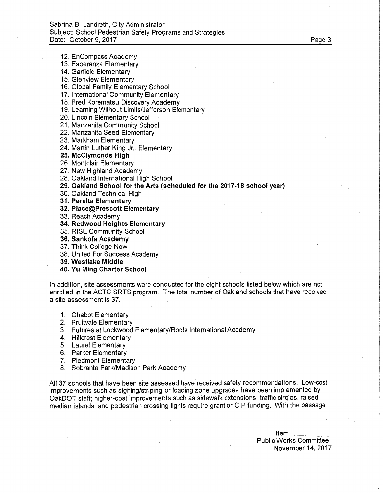12. EnCompass Academy

- 13. Esperanza Elementary
- 14. Garfield Elementary
- 15. Glenview Elementary
- 16. Global Family Elementary School
- 17. International Community Elementary
- 18. Fred Korematsu Discovery Academy
- 19. Learning Without Limits/Jefferson Elementary
- 20. Lincoln Elementary School
- 21. Manzanita Community School
- 22. Manzanita Seed Elementary
- 23. Markham Elementary
- 24. Martin Luther King Jr., Elementary
- **25. McClymonds High**
- 26. Montclair Elementary
- 27. New Highland Academy
- 28. Oakland International High School
- **29. Oakland School for the Arts (scheduled for the 2017-18 school year)**
- 30. Oakland Technical High
- **31. Peralta Elementary**
- **32. Place@Prescott Elementary**
- 33. Reach Academy
- **34. Redwood Heights Elementary**
- 35. RISE Community School
- **36. Sankofa Academy**
- 37. Think College Now
- 38. United For Success Academy
- **39. Westlake Middle**
- **40. Yu Ming Charter School**

In addition, site assessments were conducted for the eight schools listed below which are not enrolled in the ACTC SRTS program. The total number of Oakland schools that have received a site assessment is 37.

- 1. Chabot Elementary
- 2. Fruitvale Elementary
- 3. Futures at Lockwood Elementary/Roots International Academy
- 4. Hillcrest Elementary
- 5. Laurel Elementary
- 6. Parker Elementary
- 7. Piedmont Elementary
- 8. Sobrante Park/Madison Park Academy

All 37 schools that have been site assessed have received safety recommendations. Low-cost improvements such as signing/striping or loading zone upgrades have been implemented by OakDOT staff; higher-cost improvements such as sidewalk extensions, traffic circles, raised median islands, and pedestrian crossing lights require grant or CIP funding. With the passage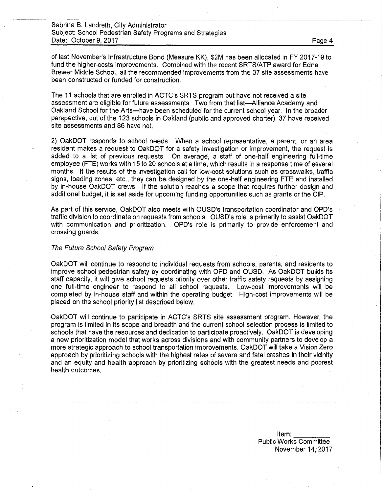of last November's Infrastructure Bond (Measure KK), \$2M has been allocated in FY 2017-19 to fund the higher-costs improvements. Combined with the recent SRTS/ATP award for Edna Brewer Middle School, all the recommended improvements from the 37 site assessments have been constructed or funded for construction.

The 11 schools that are enrolled in ACTC's SRTS program but have not received a site assessment are eligible for future assessments. Two from that list—Alliance Academy and Oakland School for the Arts—-have been scheduled for the current school year. In the broader perspective, out of the 123 schools in Oakland (public and approved charter), 37 have received site assessments and 86 have not.

2) OakDOT responds to school needs. When a school representative, a parent, or an area resident makes a request to OakDOT for a safety investigation or improvement, the request is added to a list of previous requests. On average, a staff of one-half engineering full-time employee (FTE) works with 15 to 20 schools at a time, which results in a response time of several months. If the results of the investigation call for low-cost solutions such as crosswalks, traffic signs, loading zones, etc., they can be,designed by the one-half engineering FTE and installed by in-house OakDOT crews. If the solution reaches a scope that requires further design and additional budget, it is set aside for upcoming funding opportunities such as grants or the CIP.

As part of this service, OakDOT also meets with OUSD's transportation coordinator and OPD's traffic division to coordinate on requests from schools. OUSD's role is primarily to assist OakDOT with communication and prioritization, OPD's role is primarily to provide enforcement and crossing guards.

## *The Future School Safety Program*

OakDOT will continue to respond to individual requests from schools, parents, and residents to improve school pedestrian safety by coordinating with OPD and OUSD. As OakDOT builds its staff capacity, it will give school requests priority over other traffic safety requests by assigning one full-time engineer to respond to all school requests, Low-cost improvements will be completed by in-house staff and within the operating budget, High-cost improvements will be placed on the school priority list described below.

OakDOT will continue to participate in ACTC's SRTS site assessment program. However, the program is limited in its scope and breadth and the current school selection process is limited to schools that have the resources and dedication to participate proactively. OakDOT is developing a new prioritization model that works across divisions and with community partners to develop a more strategic approach to school transportation improvements. OakDOT will take a Vision Zero approach by prioritizing schools with the highest rates of severe and fatal crashes in their vicinity and an equity and health approach by prioritizing schools with the greatest needs and poorest health outcomes.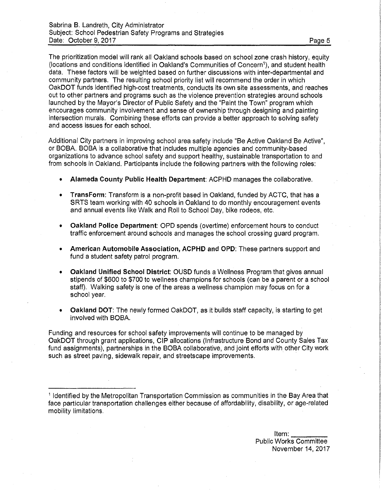The prioritization model will rank all Oakland schools based on school zone crash history, equity (locations and conditions identified in Oakland's Communities of Concern<sup>1</sup>), and student health data, These factors will be weighted based on further discussions with inter-departmental and community partners. The resulting school priority list will recommend the order in which OakDOT funds identified high-cost treatments, conducts its own site assessments, and reaches out to other partners and programs such as the violence prevention strategies around schools launched by the Mayor's Director of Public Safety and the "Paint the Town" program which encourages community involvement and sense of ownership through designing and painting intersection murals. Combining these efforts can provide a better approach to solving safety and access issues for each school.

Additional City partners in improving school area safety include "Be Active Oakland Be Active", or BOBA. BOBA is a collaborative that includes multiple agencies and community-based organizations to advance school safety and support healthy, sustainable transportation to and from schools in Oakland. Participants include the following partners with the following roles:

- **Alameda County Public Health Department:** ACPHD manages the collaborative.
- **TransForm:** Transform is a non-profit based in Oakland, funded by ACTC, that has a SRTS team working with 40 schools in Oakland to do monthly encouragement events and annual events like Walk and Roll to School Day, bike rodeos, etc.
- **Oakland Police Department:** OPD spends (overtime) enforcement hours to conduct traffic enforcement around schools and manages the school crossing guard program.
- **American Automobile Association, ACPHD and OPD:** These partners support and fund a student safety patrol program.
- **Oakland Unified School District:** OUSD funds a Wellness Program that gives annual stipends of \$600 to \$700 to wellness champions for schools (can be a parent or a school staff). Walking safety is one of the areas a wellness champion may focus on for a school year.
- **Oakland DOT:** The newly formed OakDOT, as it builds staff capacity, is starting to get involved with BOBA.

Funding and resources for school safety improvements will continue to be managed by OakDOT through grant applications, CIP allocations (Infrastructure Bond and County Sales Tax fund assignments), partnerships in the BOBA collaborative, and joint efforts with other City work such as street paving, sidewalk repair, and streetscape improvements.

<sup>1</sup> Identified by the Metropolitan Transportation Commission as communities in the Bay Area that face particular transportation challenges either because of affordability, disability, or age-related mobility limitations.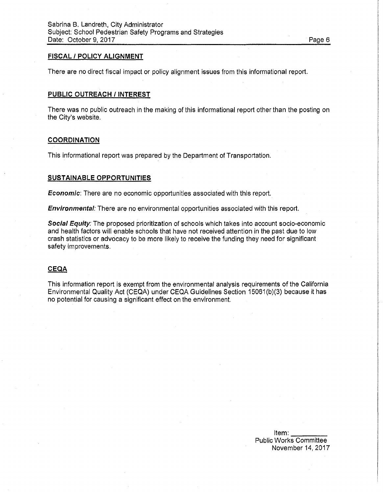## **FISCAL / POLICY ALIGNMENT**

There are no direct fiscal impact or policy alignment issues from this informational report.

## **PUBLIC OUTREACH** *I* **INTEREST**

There was no public outreach in the making of this informational report other than the posting on the City's website.

#### **COORDINATION**

This informational report was prepared by the Department of Transportation.

#### **SUSTAINABLE OPPORTUNITIES**

*Economic*: There are no economic opportunities associated with this report.

*Environmental:* There are no environmental opportunities associated with this report.

*Social Equity:* The proposed prioritization of schools which takes into account socio-economic and health factors will enable schools that have not received attention in the past due to low crash statistics or advocacy to be more likely to receive the funding they need for significant safety improvements.

### **CEQA**

This information report is exempt from the environmental analysis requirements of the California Environmental Quality Act (CEQA) under CEQA Guidelines Section 15061 (b)(3) because it has no potential for causing a significant effect on the environment.